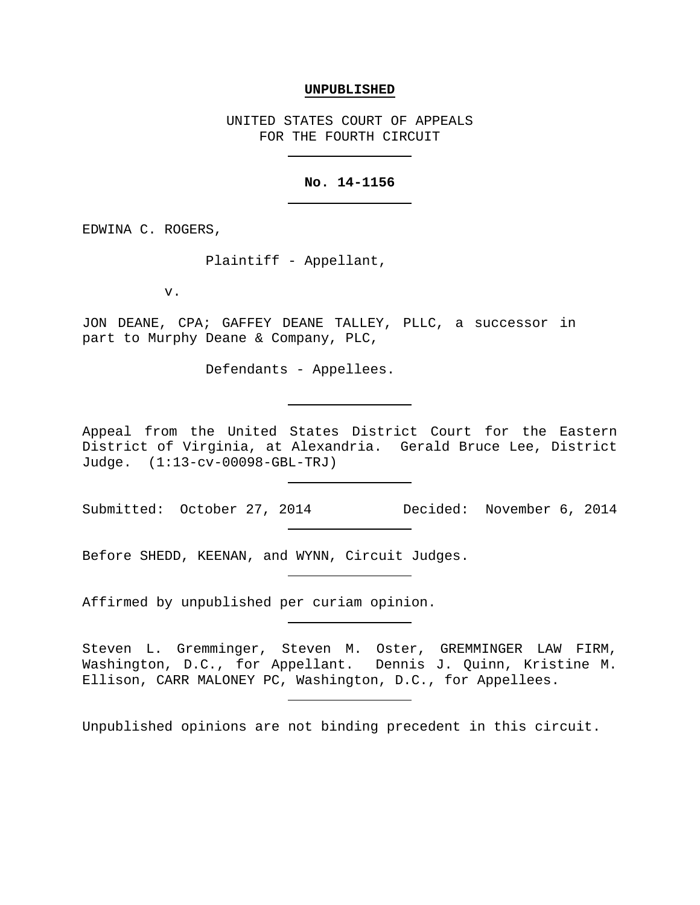## **UNPUBLISHED**

UNITED STATES COURT OF APPEALS FOR THE FOURTH CIRCUIT

## **No. 14-1156**

EDWINA C. ROGERS,

Plaintiff - Appellant,

v.

JON DEANE, CPA; GAFFEY DEANE TALLEY, PLLC, a successor in part to Murphy Deane & Company, PLC,

Defendants - Appellees.

Appeal from the United States District Court for the Eastern District of Virginia, at Alexandria. Gerald Bruce Lee, District Judge. (1:13-cv-00098-GBL-TRJ)

Submitted: October 27, 2014 Decided: November 6, 2014

Before SHEDD, KEENAN, and WYNN, Circuit Judges.

Affirmed by unpublished per curiam opinion.

Steven L. Gremminger, Steven M. Oster, GREMMINGER LAW FIRM, Washington, D.C., for Appellant. Dennis J. Quinn, Kristine M. Ellison, CARR MALONEY PC, Washington, D.C., for Appellees.

Unpublished opinions are not binding precedent in this circuit.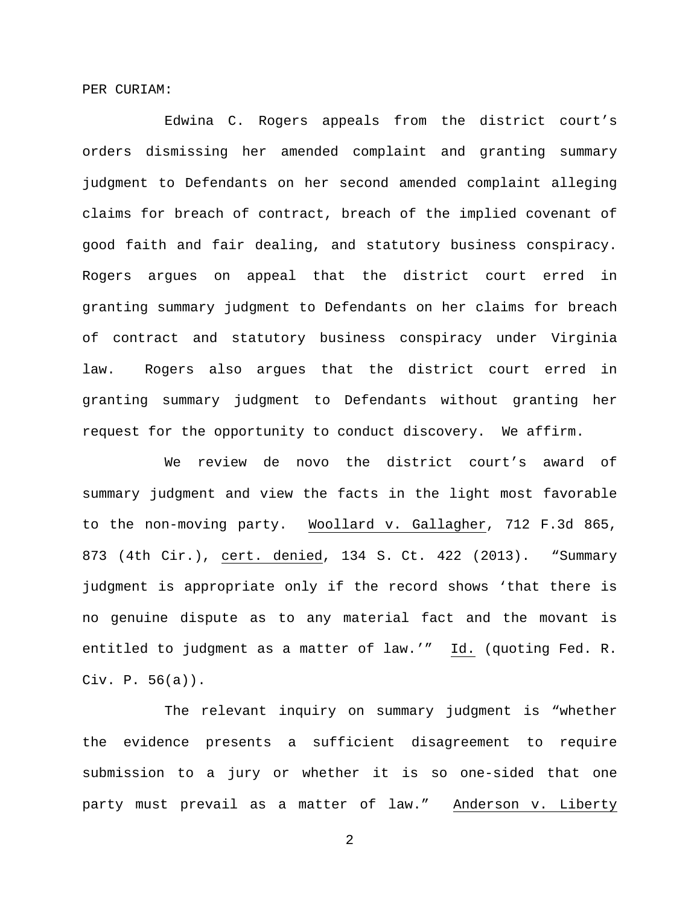PER CURIAM:

Edwina C. Rogers appeals from the district court's orders dismissing her amended complaint and granting summary judgment to Defendants on her second amended complaint alleging claims for breach of contract, breach of the implied covenant of good faith and fair dealing, and statutory business conspiracy. Rogers argues on appeal that the district court erred in granting summary judgment to Defendants on her claims for breach of contract and statutory business conspiracy under Virginia law. Rogers also argues that the district court erred in granting summary judgment to Defendants without granting her request for the opportunity to conduct discovery. We affirm.

We review de novo the district court's award of summary judgment and view the facts in the light most favorable to the non-moving party. Woollard v. Gallagher, 712 F.3d 865, 873 (4th Cir.), cert. denied, 134 S. Ct. 422 (2013). "Summary judgment is appropriate only if the record shows 'that there is no genuine dispute as to any material fact and the movant is entitled to judgment as a matter of law.'" Id. (quoting Fed. R. Civ. P. 56(a)).

The relevant inquiry on summary judgment is "whether the evidence presents a sufficient disagreement to require submission to a jury or whether it is so one-sided that one party must prevail as a matter of law." Anderson v. Liberty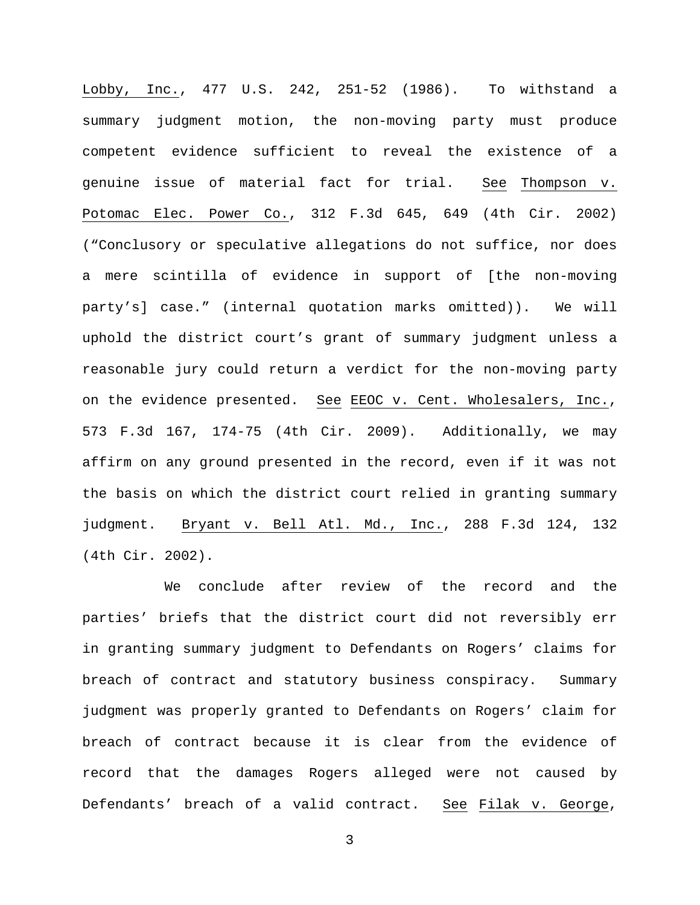Lobby, Inc., 477 U.S. 242, 251-52 (1986). To withstand a summary judgment motion, the non-moving party must produce competent evidence sufficient to reveal the existence of a genuine issue of material fact for trial. See Thompson v. Potomac Elec. Power Co., 312 F.3d 645, 649 (4th Cir. 2002) ("Conclusory or speculative allegations do not suffice, nor does a mere scintilla of evidence in support of [the non-moving party's] case." (internal quotation marks omitted)). We will uphold the district court's grant of summary judgment unless a reasonable jury could return a verdict for the non-moving party on the evidence presented. See EEOC v. Cent. Wholesalers, Inc., 573 F.3d 167, 174-75 (4th Cir. 2009). Additionally, we may affirm on any ground presented in the record, even if it was not the basis on which the district court relied in granting summary judgment. Bryant v. Bell Atl. Md., Inc., 288 F.3d 124, 132 (4th Cir. 2002).

We conclude after review of the record and the parties' briefs that the district court did not reversibly err in granting summary judgment to Defendants on Rogers' claims for breach of contract and statutory business conspiracy. Summary judgment was properly granted to Defendants on Rogers' claim for breach of contract because it is clear from the evidence of record that the damages Rogers alleged were not caused by Defendants' breach of a valid contract. See Filak v. George,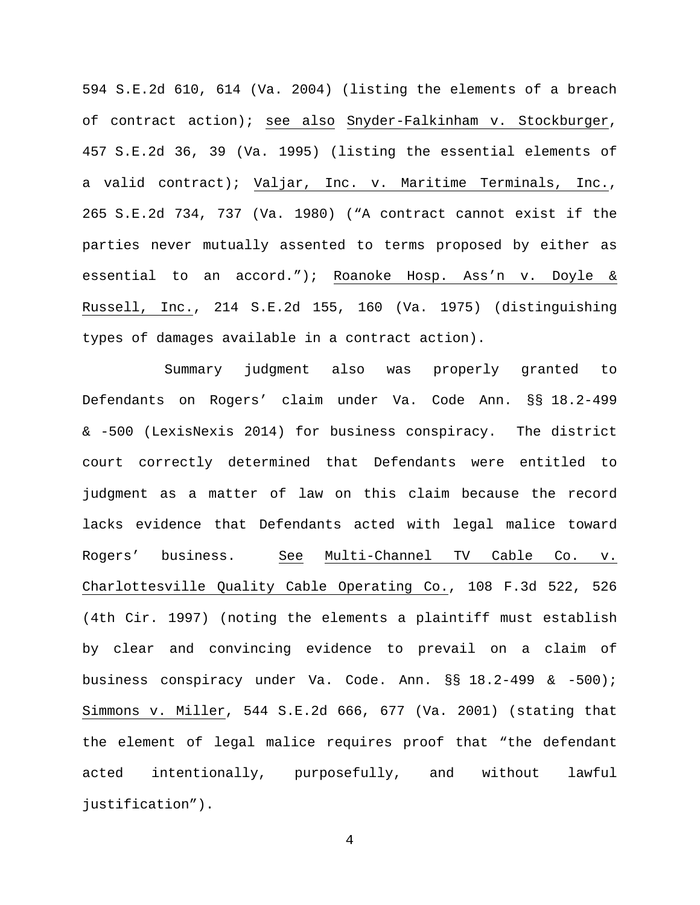594 S.E.2d 610, 614 (Va. 2004) (listing the elements of a breach of contract action); see also Snyder-Falkinham v. Stockburger, 457 S.E.2d 36, 39 (Va. 1995) (listing the essential elements of a valid contract); Valjar, Inc. v. Maritime Terminals, Inc., 265 S.E.2d 734, 737 (Va. 1980) ("A contract cannot exist if the parties never mutually assented to terms proposed by either as essential to an accord."); Roanoke Hosp. Ass'n v. Doyle & Russell, Inc., 214 S.E.2d 155, 160 (Va. 1975) (distinguishing types of damages available in a contract action).

Summary judgment also was properly granted to Defendants on Rogers' claim under Va. Code Ann. §§ 18.2-499 & -500 (LexisNexis 2014) for business conspiracy. The district court correctly determined that Defendants were entitled to judgment as a matter of law on this claim because the record lacks evidence that Defendants acted with legal malice toward Rogers' business. See Multi-Channel TV Cable Co. v. Charlottesville Quality Cable Operating Co., 108 F.3d 522, 526 (4th Cir. 1997) (noting the elements a plaintiff must establish by clear and convincing evidence to prevail on a claim of business conspiracy under Va. Code. Ann. §§ 18.2-499 & -500); Simmons v. Miller, 544 S.E.2d 666, 677 (Va. 2001) (stating that the element of legal malice requires proof that "the defendant acted intentionally, purposefully, and without lawful justification").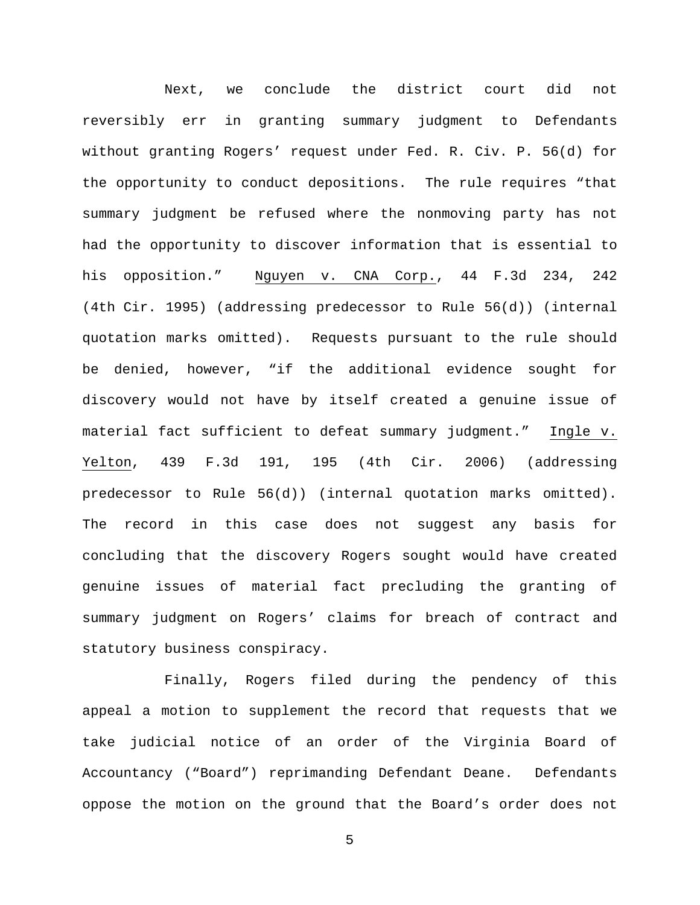Next, we conclude the district court did not reversibly err in granting summary judgment to Defendants without granting Rogers' request under Fed. R. Civ. P. 56(d) for the opportunity to conduct depositions. The rule requires "that summary judgment be refused where the nonmoving party has not had the opportunity to discover information that is essential to his opposition." Nguyen v. CNA Corp., 44 F.3d 234, 242 (4th Cir. 1995) (addressing predecessor to Rule 56(d)) (internal quotation marks omitted). Requests pursuant to the rule should be denied, however, "if the additional evidence sought for discovery would not have by itself created a genuine issue of material fact sufficient to defeat summary judgment." Ingle v. Yelton, 439 F.3d 191, 195 (4th Cir. 2006) (addressing predecessor to Rule 56(d)) (internal quotation marks omitted). The record in this case does not suggest any basis for concluding that the discovery Rogers sought would have created genuine issues of material fact precluding the granting of summary judgment on Rogers' claims for breach of contract and statutory business conspiracy.

Finally, Rogers filed during the pendency of this appeal a motion to supplement the record that requests that we take judicial notice of an order of the Virginia Board of Accountancy ("Board") reprimanding Defendant Deane. Defendants oppose the motion on the ground that the Board's order does not